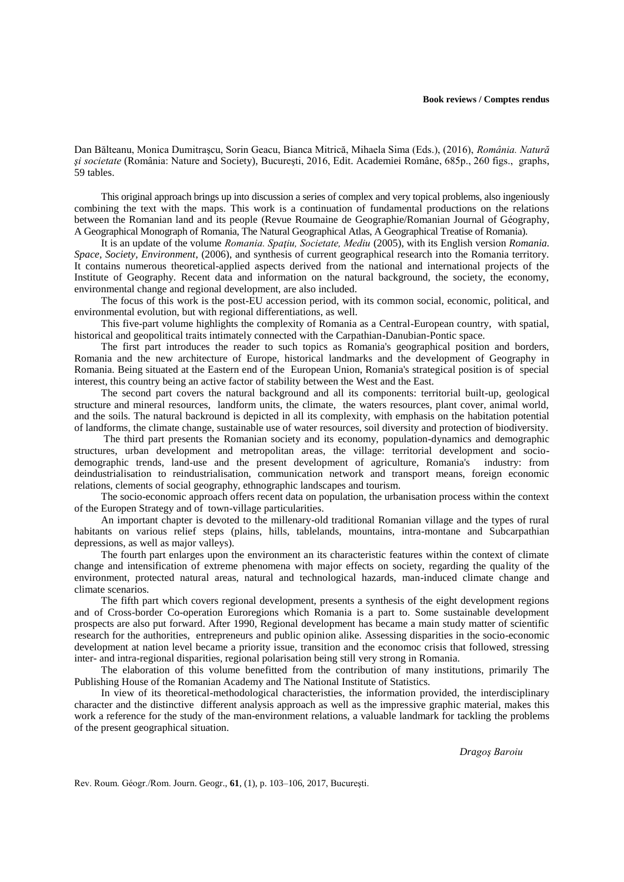Dan Bălteanu, Monica Dumitraşcu, Sorin Geacu, Bianca Mitrică, Mihaela Sima (Eds.), (2016), *România. Natură şi societate* (România: Nature and Society), Bucureşti, 2016, Edit. Academiei Române, 685p., 260 figs., graphs, 59 tables.

This original approach brings up into discussion a series of complex and very topical problems, also ingeniously combining the text with the maps. This work is a continuation of fundamental productions on the relations between the Romanian land and its people (Revue Roumaine de Geographie/Romanian Journal of Géography, A Geographical Monograph of Romania, The Natural Geographical Atlas, A Geographical Treatise of Romania).

It is an update of the volume *Romania. Spaţiu, Societate, Mediu* (2005), with its English version *Romania. Space, Society, Environment*, (2006), and synthesis of current geographical research into the Romania territory. It contains numerous theoretical-applied aspects derived from the national and international projects of the Institute of Geography. Recent data and information on the natural background, the society, the economy, environmental change and regional development, are also included.

The focus of this work is the post-EU accession period, with its common social, economic, political, and environmental evolution, but with regional differentiations, as well.

This five-part volume highlights the complexity of Romania as a Central-European country, with spatial, historical and geopolitical traits intimately connected with the Carpathian-Danubian-Pontic space.

The first part introduces the reader to such topics as Romania's geographical position and borders, Romania and the new architecture of Europe, historical landmarks and the development of Geography in Romania. Being situated at the Eastern end of the European Union, Romania's strategical position is of special interest, this country being an active factor of stability between the West and the East.

The second part covers the natural background and all its components: territorial built-up, geological structure and mineral resources, landform units, the climate, the waters resources, plant cover, animal world, and the soils. The natural backround is depicted in all its complexity, with emphasis on the habitation potential of landforms, the climate change, sustainable use of water resources, soil diversity and protection of biodiversity.

The third part presents the Romanian society and its economy, population-dynamics and demographic structures, urban development and metropolitan areas, the village: territorial development and sociodemographic trends, land-use and the present development of agriculture, Romania's industry: from deindustrialisation to reindustrialisation, communication network and transport means, foreign economic relations, clements of social geography, ethnographic landscapes and tourism.

The socio-economic approach offers recent data on population, the urbanisation process within the context of the Europen Strategy and of town-village particularities.

An important chapter is devoted to the millenary-old traditional Romanian village and the types of rural habitants on various relief steps (plains, hills, tablelands, mountains, intra-montane and Subcarpathian depressions, as well as major valleys).

The fourth part enlarges upon the environment an its characteristic features within the context of climate change and intensification of extreme phenomena with major effects on society, regarding the quality of the environment, protected natural areas, natural and technological hazards, man-induced climate change and climate scenarios.

The fifth part which covers regional development, presents a synthesis of the eight development regions and of Cross-border Co-operation Euroregions which Romania is a part to. Some sustainable development prospects are also put forward. After 1990, Regional development has became a main study matter of scientific research for the authorities, entrepreneurs and public opinion alike. Assessing disparities in the socio-economic development at nation level became a priority issue, transition and the economoc crisis that followed, stressing inter- and intra-regional disparities, regional polarisation being still very strong in Romania.

The elaboration of this volume benefitted from the contribution of many institutions, primarily The Publishing House of the Romanian Academy and The National Institute of Statistics.

In view of its theoretical-methodological characteristies, the information provided, the interdisciplinary character and the distinctive different analysis approach as well as the impressive graphic material, makes this work a reference for the study of the man-environment relations, a valuable landmark for tackling the problems of the present geographical situation.

*Dragoş Baroiu*

Rev. Roum. Géogr./Rom. Journ. Geogr., **61**, (1), p. 103–106, 2017, Bucureşti.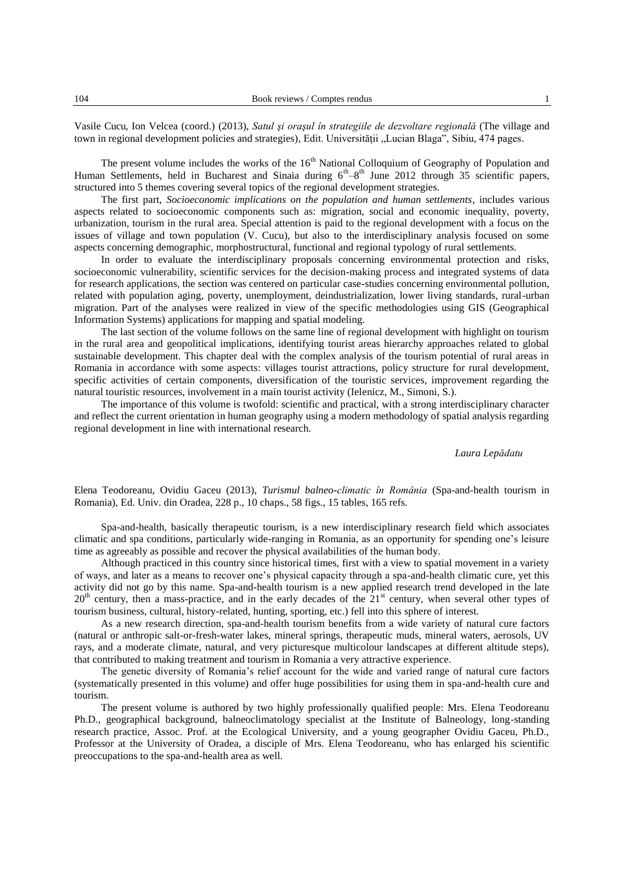Vasile Cucu, Ion Velcea (coord.) (2013), *Satul şi oraşul în strategiile de dezvoltare regională* (The village and town in regional development policies and strategies), Edit. Universității "Lucian Blaga", Sibiu, 474 pages.

The present volume includes the works of the 16<sup>th</sup> National Colloquium of Geography of Population and Human Settlements, held in Bucharest and Sinaia during  $6<sup>th</sup>-8<sup>th</sup>$  June 2012 through 35 scientific papers, structured into 5 themes covering several topics of the regional development strategies.

The first part, *Socioeconomic implications on the population and human settlements*, includes various aspects related to socioeconomic components such as: migration, social and economic inequality, poverty, urbanization, tourism in the rural area. Special attention is paid to the regional development with a focus on the issues of village and town population (V. Cucu), but also to the interdisciplinary analysis focused on some aspects concerning demographic, morphostructural, functional and regional typology of rural settlements.

In order to evaluate the interdisciplinary proposals concerning environmental protection and risks, socioeconomic vulnerability, scientific services for the decision-making process and integrated systems of data for research applications, the section was centered on particular case-studies concerning environmental pollution, related with population aging, poverty, unemployment, deindustrialization, lower living standards, rural-urban migration. Part of the analyses were realized in view of the specific methodologies using GIS (Geographical Information Systems) applications for mapping and spatial modeling.

The last section of the volume follows on the same line of regional development with highlight on tourism in the rural area and geopolitical implications, identifying tourist areas hierarchy approaches related to global sustainable development. This chapter deal with the complex analysis of the tourism potential of rural areas in Romania in accordance with some aspects: villages tourist attractions, policy structure for rural development, specific activities of certain components, diversification of the touristic services, improvement regarding the natural touristic resources, involvement in a main tourist activity (Ielenicz, M., Simoni, S.).

The importance of this volume is twofold: scientific and practical, with a strong interdisciplinary character and reflect the current orientation in human geography using a modern methodology of spatial analysis regarding regional development in line with international research.

## *Laura Lepădatu*

Elena Teodoreanu, Ovidiu Gaceu (2013), *Turismul balneo-climatic în România* (Spa-and-health tourism in Romania), Ed. Univ. din Oradea, 228 p., 10 chaps., 58 figs., 15 tables, 165 refs.

Spa-and-health, basically therapeutic tourism, is a new interdisciplinary research field which associates climatic and spa conditions, particularly wide-ranging in Romania, as an opportunity for spending one's leisure time as agreeably as possible and recover the physical availabilities of the human body.

Although practiced in this country since historical times, first with a view to spatial movement in a variety of ways, and later as a means to recover one's physical capacity through a spa-and-health climatic cure, yet this activity did not go by this name. Spa-and-health tourism is a new applied research trend developed in the late 20<sup>th</sup> century, then a mass-practice, and in the early decades of the 21<sup>st</sup> century, when several other types of tourism business, cultural, history-related, hunting, sporting, etc.) fell into this sphere of interest.

As a new research direction, spa-and-health tourism benefits from a wide variety of natural cure factors (natural or anthropic salt-or-fresh-water lakes, mineral springs, therapeutic muds, mineral waters, aerosols, UV rays, and a moderate climate, natural, and very picturesque multicolour landscapes at different altitude steps), that contributed to making treatment and tourism in Romania a very attractive experience.

The genetic diversity of Romania's relief account for the wide and varied range of natural cure factors (systematically presented in this volume) and offer huge possibilities for using them in spa-and-health cure and tourism.

The present volume is authored by two highly professionally qualified people: Mrs. Elena Teodoreanu Ph.D., geographical background, balneoclimatology specialist at the Institute of Balneology, long-standing research practice, Assoc. Prof. at the Ecological University, and a young geographer Ovidiu Gaceu, Ph.D., Professor at the University of Oradea, a disciple of Mrs. Elena Teodoreanu, who has enlarged his scientific preoccupations to the spa-and-health area as well.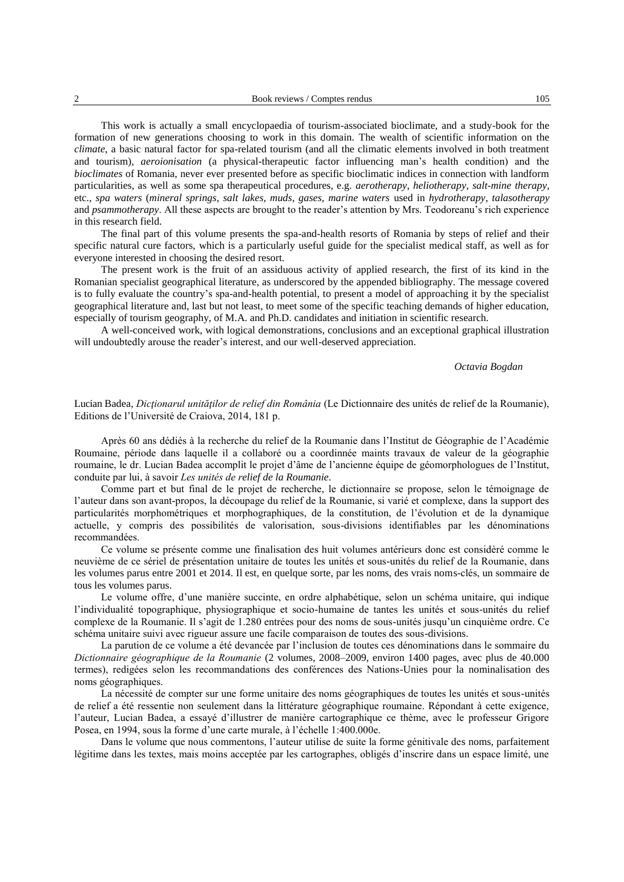This work is actually a small encyclopaedia of tourism-associated bioclimate, and a study-book for the formation of new generations choosing to work in this domain. The wealth of scientific information on the *climate*, a basic natural factor for spa-related tourism (and all the climatic elements involved in both treatment and tourism), *aeroionisation* (a physical-therapeutic factor influencing man's health condition) and the *bioclimates* of Romania, never ever presented before as specific bioclimatic indices in connection with landform particularities, as well as some spa therapeutical procedures, e.g. *aerotherapy*, *heliotherapy*, *salt-mine therapy*, etc., *spa waters* (*mineral springs, salt lakes, muds, gases, marine waters* used in *hydrotherapy*, *talasotherapy* and *psammotherapy*. All these aspects are brought to the reader's attention by Mrs. Teodoreanu's rich experience in this research field.

The final part of this volume presents the spa-and-health resorts of Romania by steps of relief and their specific natural cure factors, which is a particularly useful guide for the specialist medical staff, as well as for everyone interested in choosing the desired resort.

The present work is the fruit of an assiduous activity of applied research, the first of its kind in the Romanian specialist geographical literature, as underscored by the appended bibliography. The message covered is to fully evaluate the country's spa-and-health potential, to present a model of approaching it by the specialist geographical literature and, last but not least, to meet some of the specific teaching demands of higher education, especially of tourism geography, of M.A. and Ph.D. candidates and initiation in scientific research.

A well-conceived work, with logical demonstrations, conclusions and an exceptional graphical illustration will undoubtedly arouse the reader's interest, and our well-deserved appreciation.

## *Octavia Bogdan*

## Lucian Badea, *Dicţionarul unităţilor de relief din România* (Le Dictionnaire des unités de relief de la Roumanie), Editions de l'Université de Craiova, 2014, 181 p.

Après 60 ans dédiés à la recherche du relief de la Roumanie dans l'Institut de Géographie de l'Académie Roumaine, période dans laquelle il a collaboré ou a coordinnée maints travaux de valeur de la géographie roumaine, le dr. Lucian Badea accomplit le projet d'âme de l'ancienne équipe de géomorphologues de l'Institut, conduite par lui, à savoir *Les unités de relief de la Roumanie*.

Comme part et but final de le projet de recherche, le dictionnaire se propose, selon le témoignage de l'auteur dans son avant-propos, la découpage du relief de la Roumanie, si varié et complexe, dans la support des particularités morphométriques et morphographiques, de la constitution, de l'évolution et de la dynamique actuelle, y compris des possibilités de valorisation, sous-divisions identifiables par les dénominations recommandées.

Ce volume se présente comme une finalisation des huit volumes antérieurs donc est considèré comme le neuvième de ce sériel de présentation unitaire de toutes les unités et sous-unités du relief de la Roumanie, dans les volumes parus entre 2001 et 2014. Il est, en quelque sorte, par les noms, des vrais noms-clés, un sommaire de tous les volumes parus.

Le volume offre, d'une manière succinte, en ordre alphabétique, selon un schéma unitaire, qui indique l'individualité topographique, physiographique et socio-humaine de tantes les unités et sous-unités du relief complexe de la Roumanie. Il s'agit de 1.280 entrées pour des noms de sous-unités jusqu'un cinquième ordre. Ce schéma unitaire suivi avec rigueur assure une facile comparaison de toutes des sous-divisions.

La parution de ce volume a été devancée par l'inclusion de toutes ces dénominations dans le sommaire du *Dictionnaire géographique de la Roumanie* (2 volumes, 2008–2009, environ 1400 pages, avec plus de 40.000 termes), redigées selon les recommandations des conférences des Nations-Unies pour la nominalisation des noms géographiques.

La nécessité de compter sur une forme unitaire des noms géographiques de toutes les unités et sous-unités de relief a été ressentie non seulement dans la littérature géographique roumaine. Répondant à cette exigence, l'auteur, Lucian Badea, a essayé d'illustrer de manière cartographique ce thème, avec le professeur Grigore Posea, en 1994, sous la forme d'une carte murale, à l'échelle 1:400.000e.

Dans le volume que nous commentons, l'auteur utilise de suite la forme génitivale des noms, parfaitement légitime dans les textes, mais moins acceptée par les cartographes, obligés d'inscrire dans un espace limité, une